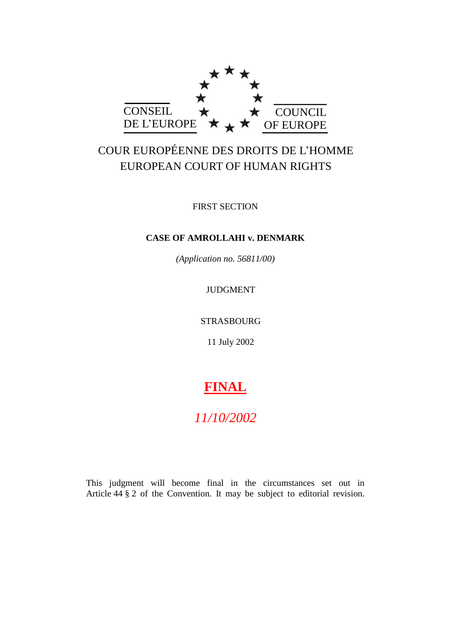

# COUR EUROPÉENNE DES DROITS DE L'HOMME EUROPEAN COURT OF HUMAN RIGHTS

FIRST SECTION

# **CASE OF AMROLLAHI v. DENMARK**

*(Application no. 56811/00)*

JUDGMENT

STRASBOURG

11 July 2002

# **FINAL**

# *11/10/2002*

This judgment will become final in the circumstances set out in Article 44 § 2 of the Convention. It may be subject to editorial revision.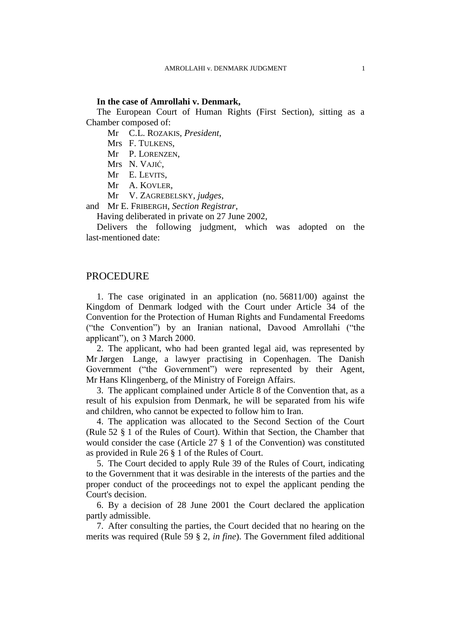### **In the case of Amrollahi v. Denmark,**

The European Court of Human Rights (First Section), sitting as a Chamber composed of:

Mr C.L. ROZAKIS, *President*,

Mrs F. TULKENS,

Mr P. LORENZEN,

Mrs N. VAJIĆ,

Mr E. LEVITS,

Mr A. KOVLER,

Mr V. ZAGREBELSKY, *judges*,

and Mr E. FRIBERGH, *Section Registrar*,

Having deliberated in private on 27 June 2002,

Delivers the following judgment, which was adopted on the last-mentioned date:

## PROCEDURE

1. The case originated in an application (no. 56811/00) against the Kingdom of Denmark lodged with the Court under Article 34 of the Convention for the Protection of Human Rights and Fundamental Freedoms ("the Convention") by an Iranian national, Davood Amrollahi ("the applicant"), on 3 March 2000.

2. The applicant, who had been granted legal aid, was represented by Mr Jørgen Lange, a lawyer practising in Copenhagen. The Danish Government ("the Government") were represented by their Agent, Mr Hans Klingenberg, of the Ministry of Foreign Affairs.

3. The applicant complained under Article 8 of the Convention that, as a result of his expulsion from Denmark, he will be separated from his wife and children, who cannot be expected to follow him to Iran.

4. The application was allocated to the Second Section of the Court (Rule 52 § 1 of the Rules of Court). Within that Section, the Chamber that would consider the case (Article 27 § 1 of the Convention) was constituted as provided in Rule 26 § 1 of the Rules of Court.

5. The Court decided to apply Rule 39 of the Rules of Court, indicating to the Government that it was desirable in the interests of the parties and the proper conduct of the proceedings not to expel the applicant pending the Court's decision.

6. By a decision of 28 June 2001 the Court declared the application partly admissible.

7. After consulting the parties, the Court decided that no hearing on the merits was required (Rule 59 § 2, *in fine*). The Government filed additional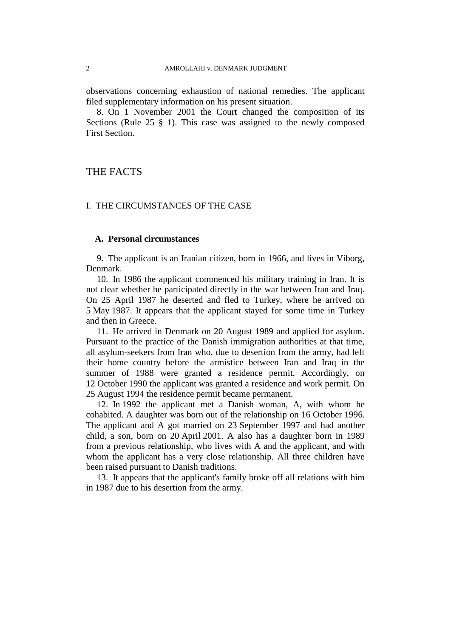observations concerning exhaustion of national remedies. The applicant filed supplementary information on his present situation.

8. On 1 November 2001 the Court changed the composition of its Sections (Rule 25 § 1). This case was assigned to the newly composed First Section.

# THE FACTS

## I. THE CIRCUMSTANCES OF THE CASE

## **A. Personal circumstances**

9. The applicant is an Iranian citizen, born in 1966, and lives in Viborg, Denmark.

10. In 1986 the applicant commenced his military training in Iran. It is not clear whether he participated directly in the war between Iran and Iraq. On 25 April 1987 he deserted and fled to Turkey, where he arrived on 5 May 1987. It appears that the applicant stayed for some time in Turkey and then in Greece.

11. He arrived in Denmark on 20 August 1989 and applied for asylum. Pursuant to the practice of the Danish immigration authorities at that time, all asylum-seekers from Iran who, due to desertion from the army, had left their home country before the armistice between Iran and Iraq in the summer of 1988 were granted a residence permit. Accordingly, on 12 October 1990 the applicant was granted a residence and work permit. On 25 August 1994 the residence permit became permanent.

12. In 1992 the applicant met a Danish woman, A, with whom he cohabited. A daughter was born out of the relationship on 16 October 1996. The applicant and A got married on 23 September 1997 and had another child, a son, born on 20 April 2001. A also has a daughter born in 1989 from a previous relationship, who lives with A and the applicant, and with whom the applicant has a very close relationship. All three children have been raised pursuant to Danish traditions.

13. It appears that the applicant's family broke off all relations with him in 1987 due to his desertion from the army.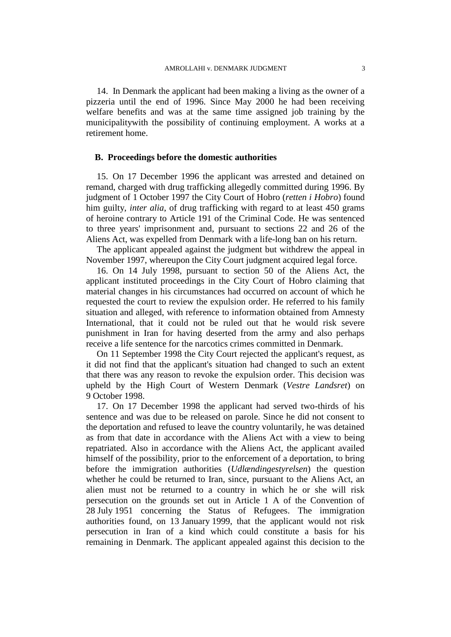14. In Denmark the applicant had been making a living as the owner of a pizzeria until the end of 1996. Since May 2000 he had been receiving welfare benefits and was at the same time assigned job training by the municipalitywith the possibility of continuing employment. A works at a retirement home.

## **B. Proceedings before the domestic authorities**

15. On 17 December 1996 the applicant was arrested and detained on remand, charged with drug trafficking allegedly committed during 1996. By judgment of 1 October 1997 the City Court of Hobro (*retten i Hobro*) found him guilty, *inter alia*, of drug trafficking with regard to at least 450 grams of heroine contrary to Article 191 of the Criminal Code. He was sentenced to three years' imprisonment and, pursuant to sections 22 and 26 of the Aliens Act, was expelled from Denmark with a life-long ban on his return.

The applicant appealed against the judgment but withdrew the appeal in November 1997, whereupon the City Court judgment acquired legal force.

16. On 14 July 1998, pursuant to section 50 of the Aliens Act, the applicant instituted proceedings in the City Court of Hobro claiming that material changes in his circumstances had occurred on account of which he requested the court to review the expulsion order. He referred to his family situation and alleged, with reference to information obtained from Amnesty International, that it could not be ruled out that he would risk severe punishment in Iran for having deserted from the army and also perhaps receive a life sentence for the narcotics crimes committed in Denmark.

On 11 September 1998 the City Court rejected the applicant's request, as it did not find that the applicant's situation had changed to such an extent that there was any reason to revoke the expulsion order. This decision was upheld by the High Court of Western Denmark (*Vestre Landsret*) on 9 October 1998.

17. On 17 December 1998 the applicant had served two-thirds of his sentence and was due to be released on parole. Since he did not consent to the deportation and refused to leave the country voluntarily, he was detained as from that date in accordance with the Aliens Act with a view to being repatriated. Also in accordance with the Aliens Act, the applicant availed himself of the possibility, prior to the enforcement of a deportation, to bring before the immigration authorities (*Udlændingestyrelsen*) the question whether he could be returned to Iran, since, pursuant to the Aliens Act, an alien must not be returned to a country in which he or she will risk persecution on the grounds set out in Article 1 A of the Convention of 28 July 1951 concerning the Status of Refugees. The immigration authorities found, on 13 January 1999, that the applicant would not risk persecution in Iran of a kind which could constitute a basis for his remaining in Denmark. The applicant appealed against this decision to the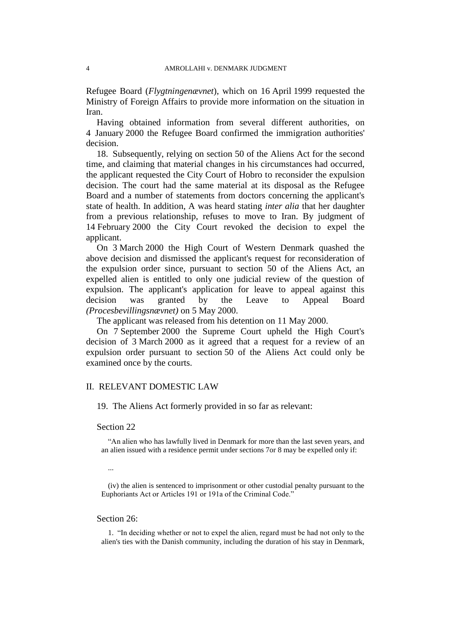Refugee Board (*Flygtningenævnet*), which on 16 April 1999 requested the Ministry of Foreign Affairs to provide more information on the situation in Iran.

Having obtained information from several different authorities, on 4 January 2000 the Refugee Board confirmed the immigration authorities' decision.

18. Subsequently, relying on section 50 of the Aliens Act for the second time, and claiming that material changes in his circumstances had occurred, the applicant requested the City Court of Hobro to reconsider the expulsion decision. The court had the same material at its disposal as the Refugee Board and a number of statements from doctors concerning the applicant's state of health. In addition, A was heard stating *inter alia* that her daughter from a previous relationship, refuses to move to Iran. By judgment of 14 February 2000 the City Court revoked the decision to expel the applicant.

On 3 March 2000 the High Court of Western Denmark quashed the above decision and dismissed the applicant's request for reconsideration of the expulsion order since, pursuant to section 50 of the Aliens Act, an expelled alien is entitled to only one judicial review of the question of expulsion. The applicant's application for leave to appeal against this decision was granted by the Leave to Appeal Board *(Procesbevillingsnævnet)* on 5 May 2000.

The applicant was released from his detention on 11 May 2000.

On 7 September 2000 the Supreme Court upheld the High Court's decision of 3 March 2000 as it agreed that a request for a review of an expulsion order pursuant to section 50 of the Aliens Act could only be examined once by the courts.

## II. RELEVANT DOMESTIC LAW

19. The Aliens Act formerly provided in so far as relevant:

### Section 22

"An alien who has lawfully lived in Denmark for more than the last seven years, and an alien issued with a residence permit under sections 7or 8 may be expelled only if:

...

(iv) the alien is sentenced to imprisonment or other custodial penalty pursuant to the Euphoriants Act or Articles 191 or 191a of the Criminal Code."

## Section 26:

1. "In deciding whether or not to expel the alien, regard must be had not only to the alien's ties with the Danish community, including the duration of his stay in Denmark,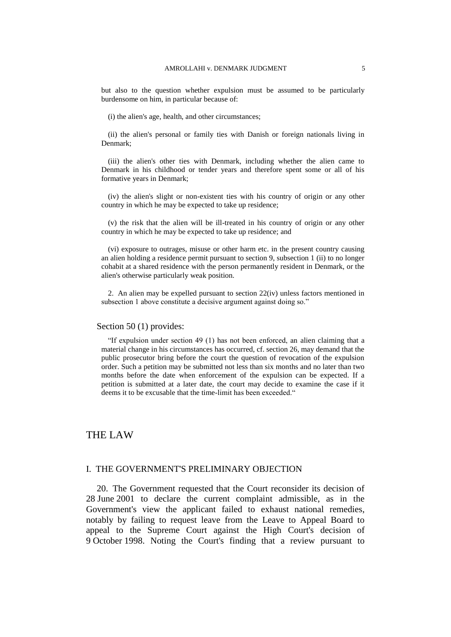but also to the question whether expulsion must be assumed to be particularly burdensome on him, in particular because of:

(i) the alien's age, health, and other circumstances;

(ii) the alien's personal or family ties with Danish or foreign nationals living in Denmark;

(iii) the alien's other ties with Denmark, including whether the alien came to Denmark in his childhood or tender years and therefore spent some or all of his formative years in Denmark;

(iv) the alien's slight or non-existent ties with his country of origin or any other country in which he may be expected to take up residence;

(v) the risk that the alien will be ill-treated in his country of origin or any other country in which he may be expected to take up residence; and

(vi) exposure to outrages, misuse or other harm etc. in the present country causing an alien holding a residence permit pursuant to section 9, subsection 1 (ii) to no longer cohabit at a shared residence with the person permanently resident in Denmark, or the alien's otherwise particularly weak position.

2. An alien may be expelled pursuant to section 22(iv) unless factors mentioned in subsection 1 above constitute a decisive argument against doing so."

## Section 50 (1) provides:

"If expulsion under section 49 (1) has not been enforced, an alien claiming that a material change in his circumstances has occurred, cf. section 26, may demand that the public prosecutor bring before the court the question of revocation of the expulsion order. Such a petition may be submitted not less than six months and no later than two months before the date when enforcement of the expulsion can be expected. If a petition is submitted at a later date, the court may decide to examine the case if it deems it to be excusable that the time-limit has been exceeded."

# THE LAW

## I. THE GOVERNMENT'S PRELIMINARY OBJECTION

20. The Government requested that the Court reconsider its decision of 28 June 2001 to declare the current complaint admissible, as in the Government's view the applicant failed to exhaust national remedies, notably by failing to request leave from the Leave to Appeal Board to appeal to the Supreme Court against the High Court's decision of 9 October 1998. Noting the Court's finding that a review pursuant to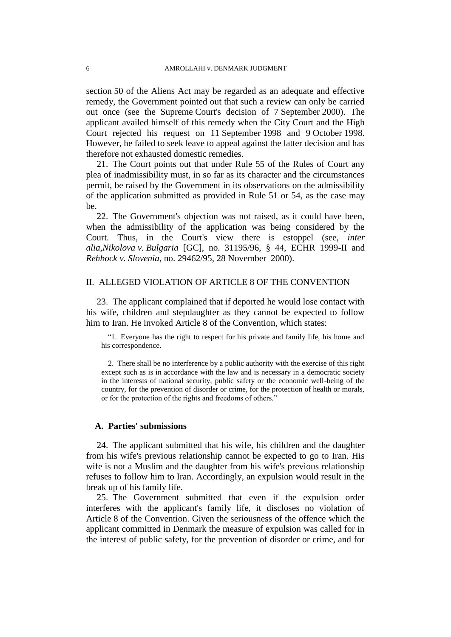section 50 of the Aliens Act may be regarded as an adequate and effective remedy, the Government pointed out that such a review can only be carried out once (see the Supreme Court's decision of 7 September 2000). The applicant availed himself of this remedy when the City Court and the High Court rejected his request on 11 September 1998 and 9 October 1998. However, he failed to seek leave to appeal against the latter decision and has therefore not exhausted domestic remedies.

21. The Court points out that under Rule 55 of the Rules of Court any plea of inadmissibility must, in so far as its character and the circumstances permit, be raised by the Government in its observations on the admissibility of the application submitted as provided in Rule 51 or 54, as the case may be.

22. The Government's objection was not raised, as it could have been, when the admissibility of the application was being considered by the Court. Thus, in the Court's view there is estoppel (see, *inter alia,Nikolova v. Bulgaria* [GC], no. 31195/96, § 44, ECHR 1999-II and *Rehbock v. Slovenia*, no. 29462/95, 28 November 2000).

## II. ALLEGED VIOLATION OF ARTICLE 8 OF THE CONVENTION

23. The applicant complained that if deported he would lose contact with his wife, children and stepdaughter as they cannot be expected to follow him to Iran. He invoked Article 8 of the Convention, which states:

"1. Everyone has the right to respect for his private and family life, his home and his correspondence.

2. There shall be no interference by a public authority with the exercise of this right except such as is in accordance with the law and is necessary in a democratic society in the interests of national security, public safety or the economic well-being of the country, for the prevention of disorder or crime, for the protection of health or morals, or for the protection of the rights and freedoms of others."

## **A. Parties' submissions**

24. The applicant submitted that his wife, his children and the daughter from his wife's previous relationship cannot be expected to go to Iran. His wife is not a Muslim and the daughter from his wife's previous relationship refuses to follow him to Iran. Accordingly, an expulsion would result in the break up of his family life.

25. The Government submitted that even if the expulsion order interferes with the applicant's family life, it discloses no violation of Article 8 of the Convention. Given the seriousness of the offence which the applicant committed in Denmark the measure of expulsion was called for in the interest of public safety, for the prevention of disorder or crime, and for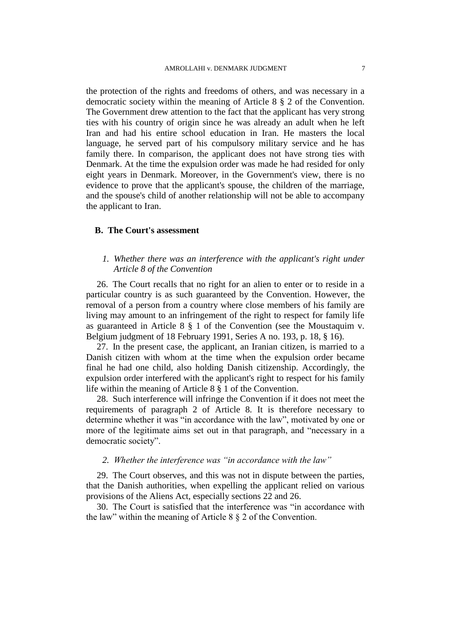the protection of the rights and freedoms of others, and was necessary in a democratic society within the meaning of Article 8 § 2 of the Convention. The Government drew attention to the fact that the applicant has very strong ties with his country of origin since he was already an adult when he left Iran and had his entire school education in Iran. He masters the local language, he served part of his compulsory military service and he has family there. In comparison, the applicant does not have strong ties with Denmark. At the time the expulsion order was made he had resided for only eight years in Denmark. Moreover, in the Government's view, there is no evidence to prove that the applicant's spouse, the children of the marriage, and the spouse's child of another relationship will not be able to accompany the applicant to Iran.

## **B. The Court's assessment**

## *1. Whether there was an interference with the applicant's right under Article 8 of the Convention*

26. The Court recalls that no right for an alien to enter or to reside in a particular country is as such guaranteed by the Convention. However, the removal of a person from a country where close members of his family are living may amount to an infringement of the right to respect for family life as guaranteed in Article 8 § 1 of the Convention (see the Moustaquim v. Belgium judgment of 18 February 1991, Series A no. 193, p. 18, § 16).

27. In the present case, the applicant, an Iranian citizen, is married to a Danish citizen with whom at the time when the expulsion order became final he had one child, also holding Danish citizenship. Accordingly, the expulsion order interfered with the applicant's right to respect for his family life within the meaning of Article 8 § 1 of the Convention.

28. Such interference will infringe the Convention if it does not meet the requirements of paragraph 2 of Article 8. It is therefore necessary to determine whether it was "in accordance with the law", motivated by one or more of the legitimate aims set out in that paragraph, and "necessary in a democratic society".

## *2. Whether the interference was "in accordance with the law"*

29. The Court observes, and this was not in dispute between the parties, that the Danish authorities, when expelling the applicant relied on various provisions of the Aliens Act, especially sections 22 and 26.

30. The Court is satisfied that the interference was "in accordance with the law" within the meaning of Article 8 § 2 of the Convention.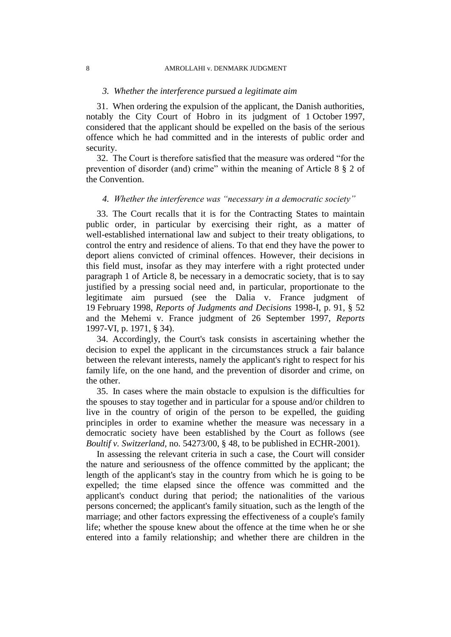#### 8 AMROLLAHI v. DENMARK JUDGMENT

#### *3. Whether the interference pursued a legitimate aim*

31. When ordering the expulsion of the applicant, the Danish authorities, notably the City Court of Hobro in its judgment of 1 October 1997, considered that the applicant should be expelled on the basis of the serious offence which he had committed and in the interests of public order and security.

32. The Court is therefore satisfied that the measure was ordered "for the prevention of disorder (and) crime" within the meaning of Article 8 § 2 of the Convention.

## *4. Whether the interference was "necessary in a democratic society"*

33. The Court recalls that it is for the Contracting States to maintain public order, in particular by exercising their right, as a matter of well-established international law and subject to their treaty obligations, to control the entry and residence of aliens. To that end they have the power to deport aliens convicted of criminal offences. However, their decisions in this field must, insofar as they may interfere with a right protected under paragraph 1 of Article 8, be necessary in a democratic society, that is to say justified by a pressing social need and, in particular, proportionate to the legitimate aim pursued (see the Dalia v. France judgment of 19 February 1998, *Reports of Judgments and Decisions* 1998-I, p. 91, § 52 and the Mehemi v. France judgment of 26 September 1997, *Reports* 1997-VI, p. 1971, § 34).

34. Accordingly, the Court's task consists in ascertaining whether the decision to expel the applicant in the circumstances struck a fair balance between the relevant interests, namely the applicant's right to respect for his family life, on the one hand, and the prevention of disorder and crime, on the other.

35. In cases where the main obstacle to expulsion is the difficulties for the spouses to stay together and in particular for a spouse and/or children to live in the country of origin of the person to be expelled, the guiding principles in order to examine whether the measure was necessary in a democratic society have been established by the Court as follows (see *Boultif v. Switzerland,* no. 54273/00, § 48, to be published in ECHR-2001).

In assessing the relevant criteria in such a case, the Court will consider the nature and seriousness of the offence committed by the applicant; the length of the applicant's stay in the country from which he is going to be expelled; the time elapsed since the offence was committed and the applicant's conduct during that period; the nationalities of the various persons concerned; the applicant's family situation, such as the length of the marriage; and other factors expressing the effectiveness of a couple's family life; whether the spouse knew about the offence at the time when he or she entered into a family relationship; and whether there are children in the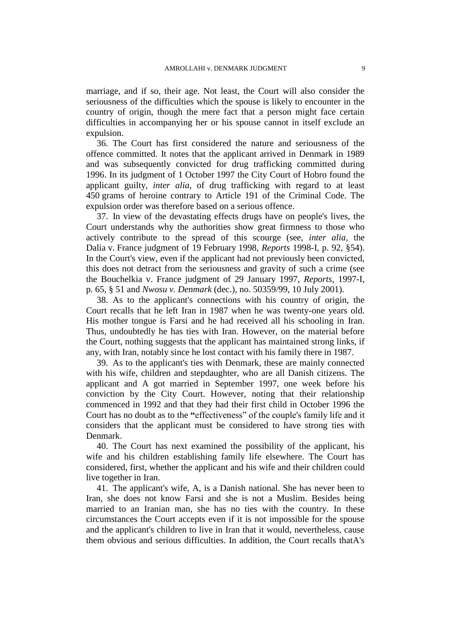marriage, and if so, their age. Not least, the Court will also consider the seriousness of the difficulties which the spouse is likely to encounter in the country of origin, though the mere fact that a person might face certain difficulties in accompanying her or his spouse cannot in itself exclude an expulsion.

36. The Court has first considered the nature and seriousness of the offence committed. It notes that the applicant arrived in Denmark in 1989 and was subsequently convicted for drug trafficking committed during 1996. In its judgment of 1 October 1997 the City Court of Hobro found the applicant guilty, *inter alia*, of drug trafficking with regard to at least 450 grams of heroine contrary to Article 191 of the Criminal Code. The expulsion order was therefore based on a serious offence.

37. In view of the devastating effects drugs have on people's lives, the Court understands why the authorities show great firmness to those who actively contribute to the spread of this scourge (see, *inter alia,* the Dalia v. France judgment of 19 February 1998, *Reports* 1998-I, p. 92, §54). In the Court's view, even if the applicant had not previously been convicted, this does not detract from the seriousness and gravity of such a crime (see the Bouchelkia v. France judgment of 29 January 1997, *Reports*, 1997-I, p. 65, § 51 and *Nwosu v. Denmark* (dec.), no. 50359/99, 10 July 2001).

38. As to the applicant's connections with his country of origin, the Court recalls that he left Iran in 1987 when he was twenty-one years old. His mother tongue is Farsi and he had received all his schooling in Iran. Thus, undoubtedly he has ties with Iran. However, on the material before the Court, nothing suggests that the applicant has maintained strong links, if any, with Iran, notably since he lost contact with his family there in 1987.

39. As to the applicant's ties with Denmark, these are mainly connected with his wife, children and stepdaughter, who are all Danish citizens. The applicant and A got married in September 1997, one week before his conviction by the City Court. However, noting that their relationship commenced in 1992 and that they had their first child in October 1996 the Court has no doubt as to the **"**effectiveness" of the couple's family life and it considers that the applicant must be considered to have strong ties with Denmark.

40. The Court has next examined the possibility of the applicant, his wife and his children establishing family life elsewhere. The Court has considered, first, whether the applicant and his wife and their children could live together in Iran.

41. The applicant's wife, A, is a Danish national. She has never been to Iran, she does not know Farsi and she is not a Muslim. Besides being married to an Iranian man, she has no ties with the country. In these circumstances the Court accepts even if it is not impossible for the spouse and the applicant's children to live in Iran that it would, nevertheless, cause them obvious and serious difficulties. In addition, the Court recalls thatA's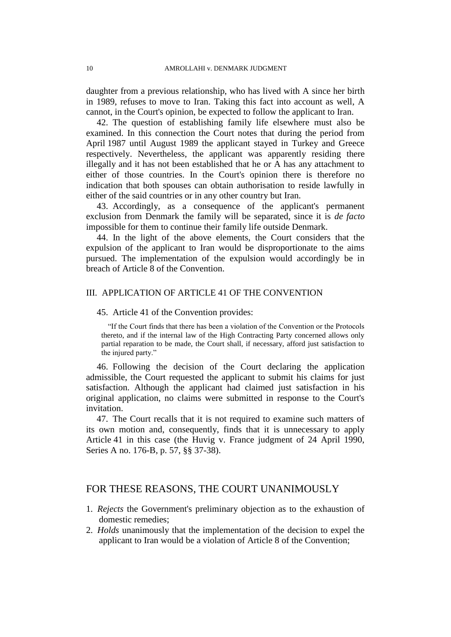daughter from a previous relationship, who has lived with A since her birth in 1989, refuses to move to Iran. Taking this fact into account as well, A cannot, in the Court's opinion, be expected to follow the applicant to Iran.

42. The question of establishing family life elsewhere must also be examined. In this connection the Court notes that during the period from April 1987 until August 1989 the applicant stayed in Turkey and Greece respectively. Nevertheless, the applicant was apparently residing there illegally and it has not been established that he or A has any attachment to either of those countries. In the Court's opinion there is therefore no indication that both spouses can obtain authorisation to reside lawfully in either of the said countries or in any other country but Iran.

43. Accordingly, as a consequence of the applicant's permanent exclusion from Denmark the family will be separated, since it is *de facto* impossible for them to continue their family life outside Denmark.

44. In the light of the above elements, the Court considers that the expulsion of the applicant to Iran would be disproportionate to the aims pursued. The implementation of the expulsion would accordingly be in breach of Article 8 of the Convention.

## III. APPLICATION OF ARTICLE 41 OF THE CONVENTION

## 45. Article 41 of the Convention provides:

"If the Court finds that there has been a violation of the Convention or the Protocols thereto, and if the internal law of the High Contracting Party concerned allows only partial reparation to be made, the Court shall, if necessary, afford just satisfaction to the injured party."

46. Following the decision of the Court declaring the application admissible, the Court requested the applicant to submit his claims for just satisfaction. Although the applicant had claimed just satisfaction in his original application, no claims were submitted in response to the Court's invitation.

47. The Court recalls that it is not required to examine such matters of its own motion and, consequently, finds that it is unnecessary to apply Article 41 in this case (the Huvig v. France judgment of 24 April 1990, Series A no. 176-B, p. 57, §§ 37-38).

## FOR THESE REASONS, THE COURT UNANIMOUSLY

- 1. *Rejects* the Government's preliminary objection as to the exhaustion of domestic remedies;
- 2. *Holds* unanimously that the implementation of the decision to expel the applicant to Iran would be a violation of Article 8 of the Convention;